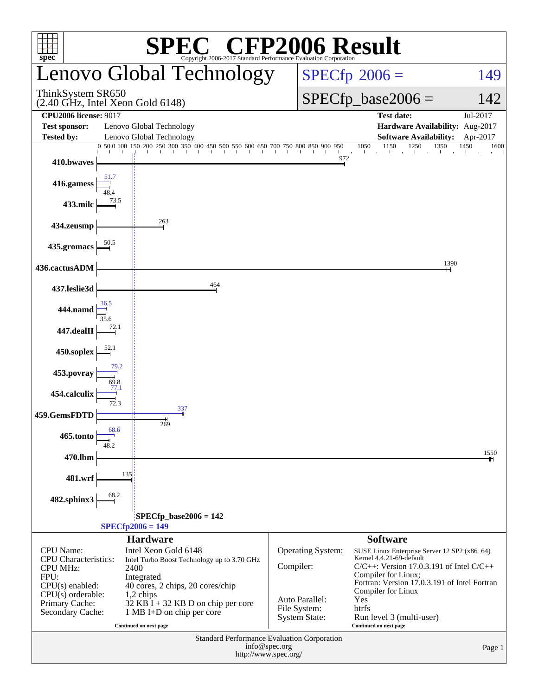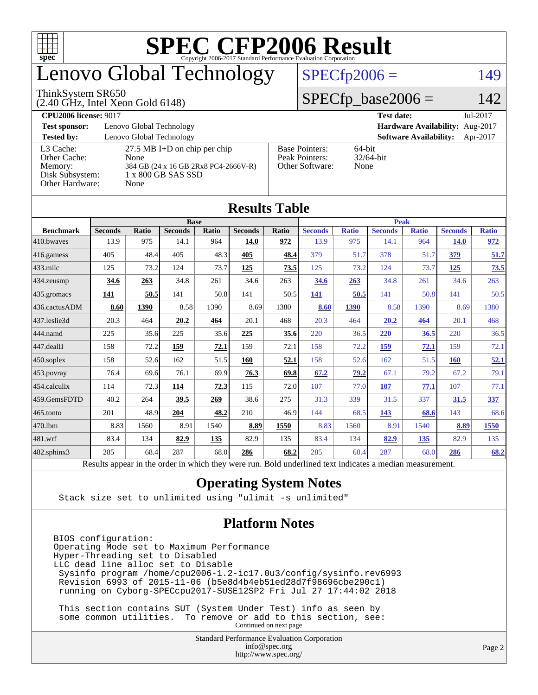

# enovo Global Technology

#### ThinkSystem SR650

(2.40 GHz, Intel Xeon Gold 6148)

### $SPECfp2006 = 149$  $SPECfp2006 = 149$

### $SPECfp\_base2006 = 142$

| <b>CPU2006 license: 9017</b>                            |                                                                                                      |                                                            | <b>Test date:</b><br>Jul-2017             |
|---------------------------------------------------------|------------------------------------------------------------------------------------------------------|------------------------------------------------------------|-------------------------------------------|
| <b>Test sponsor:</b>                                    | Lenovo Global Technology                                                                             |                                                            | Hardware Availability: Aug-2017           |
| <b>Tested by:</b>                                       | Lenovo Global Technology                                                                             |                                                            | <b>Software Availability:</b><br>Apr-2017 |
| L3 Cache:<br>Other Cache:<br>Memory:<br>Disk Subsystem: | $27.5$ MB I+D on chip per chip<br>None<br>384 GB (24 x 16 GB 2Rx8 PC4-2666V-R)<br>1 x 800 GB SAS SSD | <b>Base Pointers:</b><br>Peak Pointers:<br>Other Software: | $64$ -bit<br>$32/64$ -bit<br>None         |
| Other Hardware:                                         | None                                                                                                 |                                                            |                                           |

**[Results Table](http://www.spec.org/auto/cpu2006/Docs/result-fields.html#ResultsTable)**

| Results Table     |                                                                                                          |              |                |       |                |             |                |              |                |              |                |              |
|-------------------|----------------------------------------------------------------------------------------------------------|--------------|----------------|-------|----------------|-------------|----------------|--------------|----------------|--------------|----------------|--------------|
| <b>Base</b>       |                                                                                                          |              |                |       |                | <b>Peak</b> |                |              |                |              |                |              |
| <b>Benchmark</b>  | <b>Seconds</b>                                                                                           | <b>Ratio</b> | <b>Seconds</b> | Ratio | <b>Seconds</b> | Ratio       | <b>Seconds</b> | <b>Ratio</b> | <b>Seconds</b> | <b>Ratio</b> | <b>Seconds</b> | <b>Ratio</b> |
| 410.bwayes        | 13.9                                                                                                     | 975          | 14.1           | 964   | 14.0           | 972         | 13.9           | 975          | 14.1           | 964          | <b>14.0</b>    | 972          |
| 416.gamess        | 405                                                                                                      | 48.4         | 405            | 48.3  | 405            | 48.4        | 379            | 51.7         | 378            | 51.7         | 379            | 51.7         |
| $433$ .milc       | 125                                                                                                      | 73.2         | 124            | 73.7  | 125            | 73.5        | 125            | 73.2         | 124            | 73.7         | 125            | 73.5         |
| 434.zeusmp        | 34.6                                                                                                     | 263          | 34.8           | 261   | 34.6           | 263         | 34.6           | 263          | 34.8           | 261          | 34.6           | 263          |
| 435.gromacs       | <u>141</u>                                                                                               | 50.5         | 141            | 50.8  | 141            | 50.5        | 141            | 50.5         | 141            | 50.8         | 141            | 50.5         |
| 436.cactusADM     | 8.60                                                                                                     | 1390         | 8.58           | 1390  | 8.69           | 1380        | 8.60           | 1390         | 8.58           | 1390         | 8.69           | 1380         |
| 437.leslie3d      | 20.3                                                                                                     | 464          | 20.2           | 464   | 20.1           | 468         | 20.3           | 464          | 20.2           | 464          | 20.1           | 468          |
| 444.namd          | 225                                                                                                      | 35.6         | 225            | 35.6  | 225            | 35.6        | 220            | 36.5         | 220            | 36.5         | 220            | 36.5         |
| 447.dealII        | 158                                                                                                      | 72.2         | 159            | 72.1  | 159            | 72.1        | 158            | 72.2         | 159            | 72.1         | 159            | 72.1         |
| $450$ .soplex     | 158                                                                                                      | 52.6         | 162            | 51.5  | 160            | 52.1        | 158            | 52.6         | 162            | 51.5         | 160            | 52.1         |
| 453.povray        | 76.4                                                                                                     | 69.6         | 76.1           | 69.9  | 76.3           | 69.8        | 67.2           | 79.2         | 67.1           | 79.2         | 67.2           | 79.1         |
| $ 454$ .calculix  | 114                                                                                                      | 72.3         | 114            | 72.3  | 115            | 72.0        | 107            | 77.0         | 107            | 77.1         | 107            | 77.1         |
| 459.GemsFDTD      | 40.2                                                                                                     | 264          | 39.5           | 269   | 38.6           | 275         | 31.3           | 339          | 31.5           | 337          | 31.5           | 337          |
| 465.tonto         | 201                                                                                                      | 48.9         | 204            | 48.2  | 210            | 46.9        | 144            | 68.5         | 143            | 68.6         | 143            | 68.6         |
| 470.1bm           | 8.83                                                                                                     | 1560         | 8.91           | 1540  | 8.89           | 1550        | 8.83           | 1560         | 8.91           | 1540         | 8.89           | 1550         |
| 481.wrf           | 83.4                                                                                                     | 134          | 82.9           | 135   | 82.9           | 135         | 83.4           | 134          | 82.9           | 135          | 82.9           | 135          |
| $482$ .sphinx $3$ | 285                                                                                                      | 68.4         | 287            | 68.0  | 286            | 68.2        | 285            | 68.4         | 287            | 68.0         | 286            | 68.2         |
|                   | Results appear in the order in which they were run. Bold underlined text indicates a median measurement. |              |                |       |                |             |                |              |                |              |                |              |

### **[Operating System Notes](http://www.spec.org/auto/cpu2006/Docs/result-fields.html#OperatingSystemNotes)**

Stack size set to unlimited using "ulimit -s unlimited"

### **[Platform Notes](http://www.spec.org/auto/cpu2006/Docs/result-fields.html#PlatformNotes)**

BIOS configuration: Operating Mode set to Maximum Performance Hyper-Threading set to Disabled LLC dead line alloc set to Disable Sysinfo program /home/cpu2006-1.2-ic17.0u3/config/sysinfo.rev6993 Revision 6993 of 2015-11-06 (b5e8d4b4eb51ed28d7f98696cbe290c1) running on Cyborg-SPECcpu2017-SUSE12SP2 Fri Jul 27 17:44:02 2018

 This section contains SUT (System Under Test) info as seen by some common utilities. To remove or add to this section, see: Continued on next page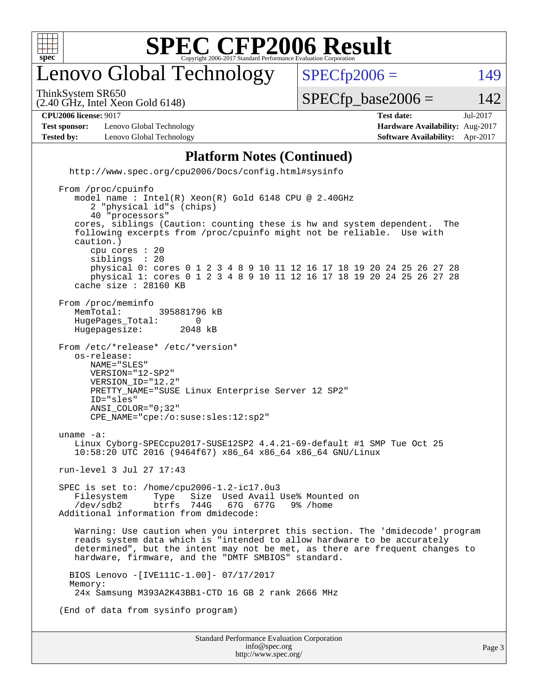

### enovo Global Technology

ThinkSystem SR650

(2.40 GHz, Intel Xeon Gold 6148)

 $SPECTp2006 = 149$ 

 $SPECTp\_base2006 = 142$ 

| <b>CPU2006 license: 9017</b> |                          | <b>Test date:</b>                     | Jul-2017 |
|------------------------------|--------------------------|---------------------------------------|----------|
| <b>Test sponsor:</b>         | Lenovo Global Technology | <b>Hardware Availability: Aug-201</b> |          |

**[Hardware Availability:](http://www.spec.org/auto/cpu2006/Docs/result-fields.html#HardwareAvailability)** Aug-2017 **[Tested by:](http://www.spec.org/auto/cpu2006/Docs/result-fields.html#Testedby)** Lenovo Global Technology **[Software Availability:](http://www.spec.org/auto/cpu2006/Docs/result-fields.html#SoftwareAvailability)** Apr-2017

#### **[Platform Notes \(Continued\)](http://www.spec.org/auto/cpu2006/Docs/result-fields.html#PlatformNotes)**

Standard Performance Evaluation Corporation [info@spec.org](mailto:info@spec.org) <http://www.spec.org/cpu2006/Docs/config.html#sysinfo> From /proc/cpuinfo model name : Intel(R) Xeon(R) Gold 6148 CPU @ 2.40GHz 2 "physical id"s (chips) 40 "processors" cores, siblings (Caution: counting these is hw and system dependent. The following excerpts from /proc/cpuinfo might not be reliable. Use with caution.) cpu cores : 20 siblings : 20 physical 0: cores 0 1 2 3 4 8 9 10 11 12 16 17 18 19 20 24 25 26 27 28 physical 1: cores 0 1 2 3 4 8 9 10 11 12 16 17 18 19 20 24 25 26 27 28 cache size : 28160 KB From /proc/meminfo<br>MemTotal: 395881796 kB HugePages\_Total: 0<br>Hugepagesize: 2048 kB Hugepagesize: From /etc/\*release\* /etc/\*version\* os-release: NAME="SLES" VERSION="12-SP2" VERSION\_ID="12.2" PRETTY\_NAME="SUSE Linux Enterprise Server 12 SP2" ID="sles" ANSI\_COLOR="0;32" CPE\_NAME="cpe:/o:suse:sles:12:sp2" uname -a: Linux Cyborg-SPECcpu2017-SUSE12SP2 4.4.21-69-default #1 SMP Tue Oct 25 10:58:20 UTC 2016 (9464f67) x86\_64 x86\_64 x86\_64 GNU/Linux run-level 3 Jul 27 17:43 SPEC is set to: /home/cpu2006-1.2-ic17.0u3<br>Filesystem Type Size Used Avail Filesystem Type Size Used Avail Use% Mounted on<br>/dev/sdb2 btrfs 744G 67G 677G 9% /home 67G 677G 9% /home Additional information from dmidecode: Warning: Use caution when you interpret this section. The 'dmidecode' program reads system data which is "intended to allow hardware to be accurately determined", but the intent may not be met, as there are frequent changes to hardware, firmware, and the "DMTF SMBIOS" standard. BIOS Lenovo -[IVE111C-1.00]- 07/17/2017 Memory: 24x Samsung M393A2K43BB1-CTD 16 GB 2 rank 2666 MHz (End of data from sysinfo program)

<http://www.spec.org/>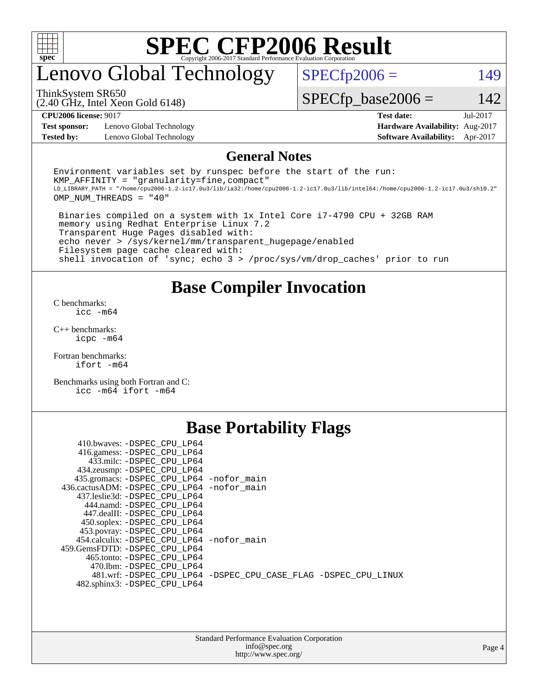

## enovo Global Technology

 $SPECfp2006 = 149$  $SPECfp2006 = 149$ 

(2.40 GHz, Intel Xeon Gold 6148) ThinkSystem SR650

 $SPECfp\_base2006 = 142$ 

**[Test sponsor:](http://www.spec.org/auto/cpu2006/Docs/result-fields.html#Testsponsor)** Lenovo Global Technology **[Hardware Availability:](http://www.spec.org/auto/cpu2006/Docs/result-fields.html#HardwareAvailability)** Aug-2017 **[Tested by:](http://www.spec.org/auto/cpu2006/Docs/result-fields.html#Testedby)** Lenovo Global Technology **[Software Availability:](http://www.spec.org/auto/cpu2006/Docs/result-fields.html#SoftwareAvailability)** Apr-2017

**[CPU2006 license:](http://www.spec.org/auto/cpu2006/Docs/result-fields.html#CPU2006license)** 9017 **[Test date:](http://www.spec.org/auto/cpu2006/Docs/result-fields.html#Testdate)** Jul-2017

### **[General Notes](http://www.spec.org/auto/cpu2006/Docs/result-fields.html#GeneralNotes)**

Environment variables set by runspec before the start of the run:  $KMP$  AFFINITY = "granularity=fine, compact" LD\_LIBRARY\_PATH = "/home/cpu2006-1.2-ic17.0u3/lib/ia32:/home/cpu2006-1.2-ic17.0u3/lib/intel64:/home/cpu2006-1.2-ic17.0u3/sh10.2" OMP\_NUM\_THREADS = "40"

 Binaries compiled on a system with 1x Intel Core i7-4790 CPU + 32GB RAM memory using Redhat Enterprise Linux 7.2 Transparent Huge Pages disabled with: echo never > /sys/kernel/mm/transparent\_hugepage/enabled Filesystem page cache cleared with: shell invocation of 'sync; echo 3 > /proc/sys/vm/drop\_caches' prior to run

**[Base Compiler Invocation](http://www.spec.org/auto/cpu2006/Docs/result-fields.html#BaseCompilerInvocation)**

[C benchmarks](http://www.spec.org/auto/cpu2006/Docs/result-fields.html#Cbenchmarks): [icc -m64](http://www.spec.org/cpu2006/results/res2017q4/cpu2006-20170918-49772.flags.html#user_CCbase_intel_icc_64bit_bda6cc9af1fdbb0edc3795bac97ada53)

[C++ benchmarks:](http://www.spec.org/auto/cpu2006/Docs/result-fields.html#CXXbenchmarks) [icpc -m64](http://www.spec.org/cpu2006/results/res2017q4/cpu2006-20170918-49772.flags.html#user_CXXbase_intel_icpc_64bit_fc66a5337ce925472a5c54ad6a0de310)

[Fortran benchmarks](http://www.spec.org/auto/cpu2006/Docs/result-fields.html#Fortranbenchmarks): [ifort -m64](http://www.spec.org/cpu2006/results/res2017q4/cpu2006-20170918-49772.flags.html#user_FCbase_intel_ifort_64bit_ee9d0fb25645d0210d97eb0527dcc06e)

[Benchmarks using both Fortran and C](http://www.spec.org/auto/cpu2006/Docs/result-fields.html#BenchmarksusingbothFortranandC): [icc -m64](http://www.spec.org/cpu2006/results/res2017q4/cpu2006-20170918-49772.flags.html#user_CC_FCbase_intel_icc_64bit_bda6cc9af1fdbb0edc3795bac97ada53) [ifort -m64](http://www.spec.org/cpu2006/results/res2017q4/cpu2006-20170918-49772.flags.html#user_CC_FCbase_intel_ifort_64bit_ee9d0fb25645d0210d97eb0527dcc06e)

### **[Base Portability Flags](http://www.spec.org/auto/cpu2006/Docs/result-fields.html#BasePortabilityFlags)**

| 410.bwaves: -DSPEC CPU LP64                 |                                                                |
|---------------------------------------------|----------------------------------------------------------------|
| 416.gamess: -DSPEC_CPU_LP64                 |                                                                |
| 433.milc: -DSPEC_CPU_LP64                   |                                                                |
| 434.zeusmp: - DSPEC_CPU_LP64                |                                                                |
| 435.gromacs: -DSPEC_CPU_LP64 -nofor_main    |                                                                |
| 436.cactusADM: -DSPEC CPU LP64 -nofor main  |                                                                |
| 437.leslie3d: -DSPEC CPU LP64               |                                                                |
| 444.namd: -DSPEC CPU LP64                   |                                                                |
| 447.dealII: -DSPEC CPU LP64                 |                                                                |
| 450.soplex: -DSPEC CPU LP64                 |                                                                |
| 453.povray: -DSPEC_CPU_LP64                 |                                                                |
| 454.calculix: - DSPEC CPU LP64 - nofor main |                                                                |
| 459.GemsFDTD: -DSPEC CPU LP64               |                                                                |
| 465.tonto: -DSPEC CPU LP64                  |                                                                |
| 470.1bm: - DSPEC CPU LP64                   |                                                                |
|                                             | 481.wrf: -DSPEC CPU_LP64 -DSPEC_CPU_CASE_FLAG -DSPEC_CPU_LINUX |
| 482.sphinx3: -DSPEC_CPU_LP64                |                                                                |
|                                             |                                                                |

| <b>Standard Performance Evaluation Corporation</b> |
|----------------------------------------------------|
| info@spec.org                                      |
| http://www.spec.org/                               |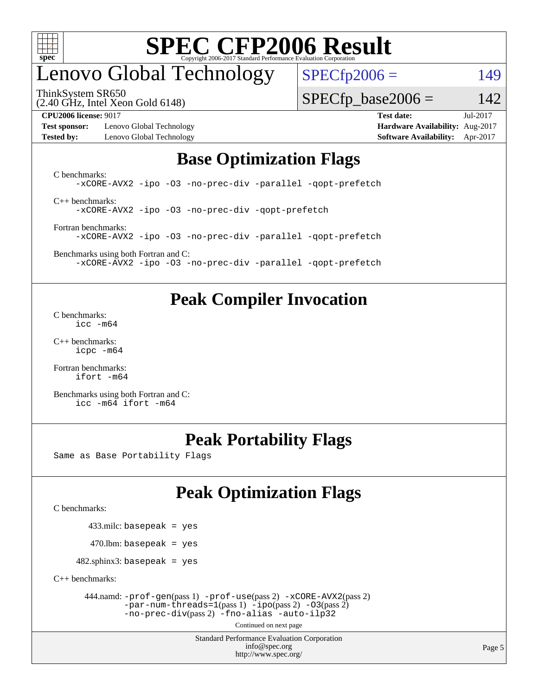

## enovo Global Technology

ThinkSystem SR650

 $SPECfp2006 = 149$  $SPECfp2006 = 149$ 

(2.40 GHz, Intel Xeon Gold 6148)

**[Test sponsor:](http://www.spec.org/auto/cpu2006/Docs/result-fields.html#Testsponsor)** Lenovo Global Technology **[Hardware Availability:](http://www.spec.org/auto/cpu2006/Docs/result-fields.html#HardwareAvailability)** Aug-2017 **[Tested by:](http://www.spec.org/auto/cpu2006/Docs/result-fields.html#Testedby)** Lenovo Global Technology **[Software Availability:](http://www.spec.org/auto/cpu2006/Docs/result-fields.html#SoftwareAvailability)** Apr-2017

 $SPECTp\_base2006 = 142$ 

**[CPU2006 license:](http://www.spec.org/auto/cpu2006/Docs/result-fields.html#CPU2006license)** 9017 **[Test date:](http://www.spec.org/auto/cpu2006/Docs/result-fields.html#Testdate)** Jul-2017

### **[Base Optimization Flags](http://www.spec.org/auto/cpu2006/Docs/result-fields.html#BaseOptimizationFlags)**

[C benchmarks](http://www.spec.org/auto/cpu2006/Docs/result-fields.html#Cbenchmarks): [-xCORE-AVX2](http://www.spec.org/cpu2006/results/res2017q4/cpu2006-20170918-49772.flags.html#user_CCbase_f-xCORE-AVX2) [-ipo](http://www.spec.org/cpu2006/results/res2017q4/cpu2006-20170918-49772.flags.html#user_CCbase_f-ipo) [-O3](http://www.spec.org/cpu2006/results/res2017q4/cpu2006-20170918-49772.flags.html#user_CCbase_f-O3) [-no-prec-div](http://www.spec.org/cpu2006/results/res2017q4/cpu2006-20170918-49772.flags.html#user_CCbase_f-no-prec-div) [-parallel](http://www.spec.org/cpu2006/results/res2017q4/cpu2006-20170918-49772.flags.html#user_CCbase_f-parallel) [-qopt-prefetch](http://www.spec.org/cpu2006/results/res2017q4/cpu2006-20170918-49772.flags.html#user_CCbase_f-qopt-prefetch) [C++ benchmarks:](http://www.spec.org/auto/cpu2006/Docs/result-fields.html#CXXbenchmarks) [-xCORE-AVX2](http://www.spec.org/cpu2006/results/res2017q4/cpu2006-20170918-49772.flags.html#user_CXXbase_f-xCORE-AVX2) [-ipo](http://www.spec.org/cpu2006/results/res2017q4/cpu2006-20170918-49772.flags.html#user_CXXbase_f-ipo) [-O3](http://www.spec.org/cpu2006/results/res2017q4/cpu2006-20170918-49772.flags.html#user_CXXbase_f-O3) [-no-prec-div](http://www.spec.org/cpu2006/results/res2017q4/cpu2006-20170918-49772.flags.html#user_CXXbase_f-no-prec-div) [-qopt-prefetch](http://www.spec.org/cpu2006/results/res2017q4/cpu2006-20170918-49772.flags.html#user_CXXbase_f-qopt-prefetch)

[Fortran benchmarks](http://www.spec.org/auto/cpu2006/Docs/result-fields.html#Fortranbenchmarks): [-xCORE-AVX2](http://www.spec.org/cpu2006/results/res2017q4/cpu2006-20170918-49772.flags.html#user_FCbase_f-xCORE-AVX2) [-ipo](http://www.spec.org/cpu2006/results/res2017q4/cpu2006-20170918-49772.flags.html#user_FCbase_f-ipo) [-O3](http://www.spec.org/cpu2006/results/res2017q4/cpu2006-20170918-49772.flags.html#user_FCbase_f-O3) [-no-prec-div](http://www.spec.org/cpu2006/results/res2017q4/cpu2006-20170918-49772.flags.html#user_FCbase_f-no-prec-div) [-parallel](http://www.spec.org/cpu2006/results/res2017q4/cpu2006-20170918-49772.flags.html#user_FCbase_f-parallel) [-qopt-prefetch](http://www.spec.org/cpu2006/results/res2017q4/cpu2006-20170918-49772.flags.html#user_FCbase_f-qopt-prefetch)

[Benchmarks using both Fortran and C](http://www.spec.org/auto/cpu2006/Docs/result-fields.html#BenchmarksusingbothFortranandC): [-xCORE-AVX2](http://www.spec.org/cpu2006/results/res2017q4/cpu2006-20170918-49772.flags.html#user_CC_FCbase_f-xCORE-AVX2) [-ipo](http://www.spec.org/cpu2006/results/res2017q4/cpu2006-20170918-49772.flags.html#user_CC_FCbase_f-ipo) [-O3](http://www.spec.org/cpu2006/results/res2017q4/cpu2006-20170918-49772.flags.html#user_CC_FCbase_f-O3) [-no-prec-div](http://www.spec.org/cpu2006/results/res2017q4/cpu2006-20170918-49772.flags.html#user_CC_FCbase_f-no-prec-div) [-parallel](http://www.spec.org/cpu2006/results/res2017q4/cpu2006-20170918-49772.flags.html#user_CC_FCbase_f-parallel) [-qopt-prefetch](http://www.spec.org/cpu2006/results/res2017q4/cpu2006-20170918-49772.flags.html#user_CC_FCbase_f-qopt-prefetch)

### **[Peak Compiler Invocation](http://www.spec.org/auto/cpu2006/Docs/result-fields.html#PeakCompilerInvocation)**

[C benchmarks](http://www.spec.org/auto/cpu2006/Docs/result-fields.html#Cbenchmarks): [icc -m64](http://www.spec.org/cpu2006/results/res2017q4/cpu2006-20170918-49772.flags.html#user_CCpeak_intel_icc_64bit_bda6cc9af1fdbb0edc3795bac97ada53)

[C++ benchmarks:](http://www.spec.org/auto/cpu2006/Docs/result-fields.html#CXXbenchmarks) [icpc -m64](http://www.spec.org/cpu2006/results/res2017q4/cpu2006-20170918-49772.flags.html#user_CXXpeak_intel_icpc_64bit_fc66a5337ce925472a5c54ad6a0de310)

[Fortran benchmarks](http://www.spec.org/auto/cpu2006/Docs/result-fields.html#Fortranbenchmarks): [ifort -m64](http://www.spec.org/cpu2006/results/res2017q4/cpu2006-20170918-49772.flags.html#user_FCpeak_intel_ifort_64bit_ee9d0fb25645d0210d97eb0527dcc06e)

[Benchmarks using both Fortran and C](http://www.spec.org/auto/cpu2006/Docs/result-fields.html#BenchmarksusingbothFortranandC): [icc -m64](http://www.spec.org/cpu2006/results/res2017q4/cpu2006-20170918-49772.flags.html#user_CC_FCpeak_intel_icc_64bit_bda6cc9af1fdbb0edc3795bac97ada53) [ifort -m64](http://www.spec.org/cpu2006/results/res2017q4/cpu2006-20170918-49772.flags.html#user_CC_FCpeak_intel_ifort_64bit_ee9d0fb25645d0210d97eb0527dcc06e)

### **[Peak Portability Flags](http://www.spec.org/auto/cpu2006/Docs/result-fields.html#PeakPortabilityFlags)**

Same as Base Portability Flags

## **[Peak Optimization Flags](http://www.spec.org/auto/cpu2006/Docs/result-fields.html#PeakOptimizationFlags)**

[C benchmarks](http://www.spec.org/auto/cpu2006/Docs/result-fields.html#Cbenchmarks):

433.milc: basepeak = yes

 $470.$ lbm: basepeak = yes

 $482$ .sphinx3: basepeak = yes

[C++ benchmarks:](http://www.spec.org/auto/cpu2006/Docs/result-fields.html#CXXbenchmarks)

 444.namd: [-prof-gen](http://www.spec.org/cpu2006/results/res2017q4/cpu2006-20170918-49772.flags.html#user_peakPASS1_CXXFLAGSPASS1_LDFLAGS444_namd_prof_gen_e43856698f6ca7b7e442dfd80e94a8fc)(pass 1) [-prof-use](http://www.spec.org/cpu2006/results/res2017q4/cpu2006-20170918-49772.flags.html#user_peakPASS2_CXXFLAGSPASS2_LDFLAGS444_namd_prof_use_bccf7792157ff70d64e32fe3e1250b55)(pass 2) [-xCORE-AVX2](http://www.spec.org/cpu2006/results/res2017q4/cpu2006-20170918-49772.flags.html#user_peakPASS2_CXXFLAGSPASS2_LDFLAGS444_namd_f-xCORE-AVX2)(pass 2)  $-par-num-threads=1(pass 1) -ipo(pass 2) -O3(pass 2)$  $-par-num-threads=1(pass 1) -ipo(pass 2) -O3(pass 2)$  $-par-num-threads=1(pass 1) -ipo(pass 2) -O3(pass 2)$  $-par-num-threads=1(pass 1) -ipo(pass 2) -O3(pass 2)$  $-par-num-threads=1(pass 1) -ipo(pass 2) -O3(pass 2)$  $-par-num-threads=1(pass 1) -ipo(pass 2) -O3(pass 2)$ [-no-prec-div](http://www.spec.org/cpu2006/results/res2017q4/cpu2006-20170918-49772.flags.html#user_peakPASS2_CXXFLAGSPASS2_LDFLAGS444_namd_f-no-prec-div)(pass 2) [-fno-alias](http://www.spec.org/cpu2006/results/res2017q4/cpu2006-20170918-49772.flags.html#user_peakCXXOPTIMIZEOPTIMIZE444_namd_f-no-alias_694e77f6c5a51e658e82ccff53a9e63a) [-auto-ilp32](http://www.spec.org/cpu2006/results/res2017q4/cpu2006-20170918-49772.flags.html#user_peakCXXOPTIMIZE444_namd_f-auto-ilp32)

Continued on next page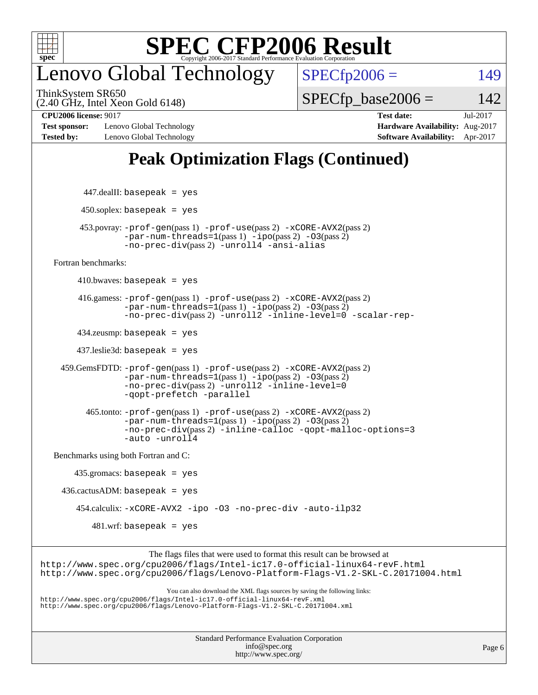

## enovo Global Technology

ThinkSystem SR650

 $SPECfp2006 = 149$  $SPECfp2006 = 149$ 

(2.40 GHz, Intel Xeon Gold 6148)

 $SPECTp\_base2006 = 142$ 

**[Test sponsor:](http://www.spec.org/auto/cpu2006/Docs/result-fields.html#Testsponsor)** Lenovo Global Technology **[Hardware Availability:](http://www.spec.org/auto/cpu2006/Docs/result-fields.html#HardwareAvailability)** Aug-2017 **[Tested by:](http://www.spec.org/auto/cpu2006/Docs/result-fields.html#Testedby)** Lenovo Global Technology **[Software Availability:](http://www.spec.org/auto/cpu2006/Docs/result-fields.html#SoftwareAvailability)** Apr-2017

**[CPU2006 license:](http://www.spec.org/auto/cpu2006/Docs/result-fields.html#CPU2006license)** 9017 **[Test date:](http://www.spec.org/auto/cpu2006/Docs/result-fields.html#Testdate)** Jul-2017

### **[Peak Optimization Flags \(Continued\)](http://www.spec.org/auto/cpu2006/Docs/result-fields.html#PeakOptimizationFlags)**

```
447.dealII: basepeak = yes
         450.soplex: basepeak = yes
         453.povray: -prof-gen(pass 1) -prof-use(pass 2) -xCORE-AVX2(pass 2)
                   -par-num-threads=1-ipo-O3(pass 2)-no-prec-div(pass 2) -unroll4 -ansi-alias
   Fortran benchmarks: 
        410.bwaves: basepeak = yes 416.gamess: -prof-gen(pass 1) -prof-use(pass 2) -xCORE-AVX2(pass 2)
                   -par-num-threads=1(pass 1) -ipo(pass 2) -O3(pass 2)
                   -no-prec-div(pass 2) -unroll2 -inline-level=0 -scalar-rep-
         434.zeusmp: basepeak = yes
         437.leslie3d: basepeak = yes
     459.GemsFDTD: -prof-gen(pass 1) -prof-use(pass 2) -xCORE-AVX2(pass 2)
                   -par-num-threads=1(pass 1) -ipo(pass 2) -O3(pass 2)
                   -no-prec-div(pass 2) -unroll2 -inline-level=0
                   -qopt-prefetch -parallel
           465.tonto: -prof-gen(pass 1) -prof-use(pass 2) -xCORE-AVX2(pass 2)
                   -par-num-threads=1(pass 1) -ipo(pass 2) -O3(pass 2)
                   -no-prec-div(pass 2) -inline-calloc -qopt-malloc-options=3
                   -auto -unroll4
   Benchmarks using both Fortran and C: 
        435.gromacs: basepeak = yes
    436.cactusADM:basepeak = yes 454.calculix: -xCORE-AVX2 -ipo -O3 -no-prec-div -auto-ilp32
            481.wrf: basepeak = yes
                        The flags files that were used to format this result can be browsed at
http://www.spec.org/cpu2006/flags/Intel-ic17.0-official-linux64-revF.html
http://www.spec.org/cpu2006/flags/Lenovo-Platform-Flags-V1.2-SKL-C.20171004.html
                            You can also download the XML flags sources by saving the following links:
http://www.spec.org/cpu2006/flags/Intel-ic17.0-official-linux64-revF.xml
http://www.spec.org/cpu2006/flags/Lenovo-Platform-Flags-V1.2-SKL-C.20171004.xml
```